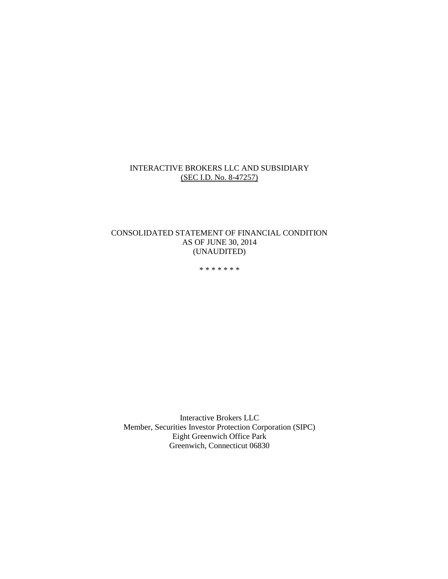#### INTERACTIVE BROKERS LLC AND SUBSIDIARY (SEC I.D. No. 8-47257)

#### CONSOLIDATED STATEMENT OF FINANCIAL CONDITION AS OF JUNE 30, 2014 (UNAUDITED)

\* \* \* \* \* \* \*

Interactive Brokers LLC Member, Securities Investor Protection Corporation (SIPC) Eight Greenwich Office Park Greenwich, Connecticut 06830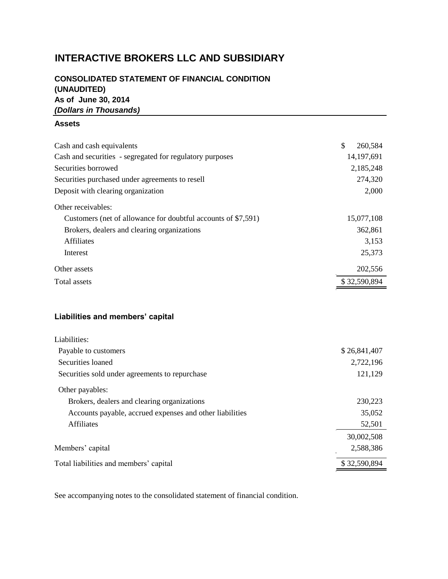# **INTERACTIVE BROKERS LLC AND SUBSIDIARY**

# **CONSOLIDATED STATEMENT OF FINANCIAL CONDITION (UNAUDITED) As of June 30, 2014** *(Dollars in Thousands)*

#### **Assets**

| Cash and cash equivalents                                     | \$<br>260,584 |
|---------------------------------------------------------------|---------------|
| Cash and securities - segregated for regulatory purposes      | 14,197,691    |
| Securities borrowed                                           | 2,185,248     |
| Securities purchased under agreements to resell               | 274,320       |
| Deposit with clearing organization                            | 2,000         |
| Other receivables:                                            |               |
| Customers (net of allowance for doubtful accounts of \$7,591) | 15,077,108    |
| Brokers, dealers and clearing organizations                   | 362,861       |
| <b>Affiliates</b>                                             | 3,153         |
| Interest                                                      | 25,373        |
| Other assets                                                  | 202,556       |
| <b>Total assets</b>                                           | \$32,590,894  |

# **Liabilities and members' capital**

| Liabilities:                                             |              |
|----------------------------------------------------------|--------------|
| Payable to customers                                     | \$26,841,407 |
| Securities loaned                                        | 2,722,196    |
| Securities sold under agreements to repurchase           | 121,129      |
| Other payables:                                          |              |
| Brokers, dealers and clearing organizations              | 230,223      |
| Accounts payable, accrued expenses and other liabilities | 35,052       |
| Affiliates                                               | 52,501       |
|                                                          | 30,002,508   |
| Members' capital                                         | 2,588,386    |
| Total liabilities and members' capital                   | \$32,590,894 |

See accompanying notes to the consolidated statement of financial condition.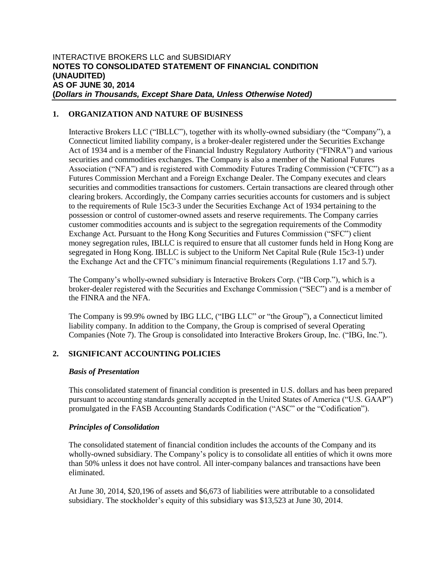## **1. ORGANIZATION AND NATURE OF BUSINESS**

Interactive Brokers LLC ("IBLLC"), together with its wholly-owned subsidiary (the "Company"), a Connecticut limited liability company, is a broker-dealer registered under the Securities Exchange Act of 1934 and is a member of the Financial Industry Regulatory Authority ("FINRA") and various securities and commodities exchanges. The Company is also a member of the National Futures Association ("NFA") and is registered with Commodity Futures Trading Commission ("CFTC") as a Futures Commission Merchant and a Foreign Exchange Dealer. The Company executes and clears securities and commodities transactions for customers. Certain transactions are cleared through other clearing brokers. Accordingly, the Company carries securities accounts for customers and is subject to the requirements of Rule 15c3-3 under the Securities Exchange Act of 1934 pertaining to the possession or control of customer-owned assets and reserve requirements. The Company carries customer commodities accounts and is subject to the segregation requirements of the Commodity Exchange Act. Pursuant to the Hong Kong Securities and Futures Commission ("SFC") client money segregation rules, IBLLC is required to ensure that all customer funds held in Hong Kong are segregated in Hong Kong. IBLLC is subject to the Uniform Net Capital Rule (Rule 15c3-1) under the Exchange Act and the CFTC's minimum financial requirements (Regulations 1.17 and 5.7).

The Company's wholly-owned subsidiary is Interactive Brokers Corp. ("IB Corp."), which is a broker-dealer registered with the Securities and Exchange Commission ("SEC") and is a member of the FINRA and the NFA.

The Company is 99.9% owned by IBG LLC, ("IBG LLC" or "the Group"), a Connecticut limited liability company. In addition to the Company, the Group is comprised of several Operating Companies (Note 7). The Group is consolidated into Interactive Brokers Group, Inc. ("IBG, Inc.").

## **2. SIGNIFICANT ACCOUNTING POLICIES**

#### *Basis of Presentation*

This consolidated statement of financial condition is presented in U.S. dollars and has been prepared pursuant to accounting standards generally accepted in the United States of America ("U.S. GAAP") promulgated in the FASB Accounting Standards Codification ("ASC" or the "Codification").

#### *Principles of Consolidation*

The consolidated statement of financial condition includes the accounts of the Company and its wholly-owned subsidiary. The Company's policy is to consolidate all entities of which it owns more than 50% unless it does not have control. All inter-company balances and transactions have been eliminated.

At June 30, 2014, \$20,196 of assets and \$6,673 of liabilities were attributable to a consolidated subsidiary. The stockholder's equity of this subsidiary was \$13,523 at June 30, 2014.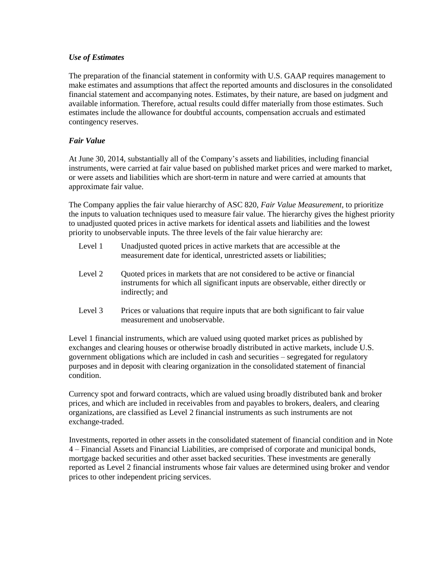#### *Use of Estimates*

The preparation of the financial statement in conformity with U.S. GAAP requires management to make estimates and assumptions that affect the reported amounts and disclosures in the consolidated financial statement and accompanying notes. Estimates, by their nature, are based on judgment and available information. Therefore, actual results could differ materially from those estimates. Such estimates include the allowance for doubtful accounts, compensation accruals and estimated contingency reserves.

### *Fair Value*

At June 30, 2014, substantially all of the Company's assets and liabilities, including financial instruments, were carried at fair value based on published market prices and were marked to market, or were assets and liabilities which are short-term in nature and were carried at amounts that approximate fair value.

The Company applies the fair value hierarchy of ASC 820, *Fair Value Measurement*, to prioritize the inputs to valuation techniques used to measure fair value. The hierarchy gives the highest priority to unadjusted quoted prices in active markets for identical assets and liabilities and the lowest priority to unobservable inputs. The three levels of the fair value hierarchy are:

- Level 1 Unadjusted quoted prices in active markets that are accessible at the measurement date for identical, unrestricted assets or liabilities;
- Level 2 Quoted prices in markets that are not considered to be active or financial instruments for which all significant inputs are observable, either directly or indirectly; and
- Level 3 Prices or valuations that require inputs that are both significant to fair value measurement and unobservable.

Level 1 financial instruments, which are valued using quoted market prices as published by exchanges and clearing houses or otherwise broadly distributed in active markets, include U.S. government obligations which are included in cash and securities – segregated for regulatory purposes and in deposit with clearing organization in the consolidated statement of financial condition.

Currency spot and forward contracts, which are valued using broadly distributed bank and broker prices, and which are included in receivables from and payables to brokers, dealers, and clearing organizations, are classified as Level 2 financial instruments as such instruments are not exchange-traded.

Investments, reported in other assets in the consolidated statement of financial condition and in Note 4 – Financial Assets and Financial Liabilities, are comprised of corporate and municipal bonds, mortgage backed securities and other asset backed securities. These investments are generally reported as Level 2 financial instruments whose fair values are determined using broker and vendor prices to other independent pricing services.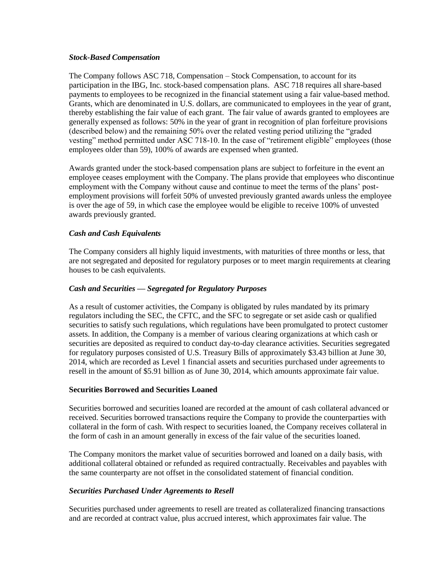#### *Stock-Based Compensation*

The Company follows ASC 718, Compensation – Stock Compensation, to account for its participation in the IBG, Inc. stock-based compensation plans. ASC 718 requires all share-based payments to employees to be recognized in the financial statement using a fair value-based method. Grants, which are denominated in U.S. dollars, are communicated to employees in the year of grant, thereby establishing the fair value of each grant. The fair value of awards granted to employees are generally expensed as follows: 50% in the year of grant in recognition of plan forfeiture provisions (described below) and the remaining 50% over the related vesting period utilizing the "graded vesting" method permitted under ASC 718-10. In the case of "retirement eligible" employees (those employees older than 59), 100% of awards are expensed when granted.

Awards granted under the stock-based compensation plans are subject to forfeiture in the event an employee ceases employment with the Company. The plans provide that employees who discontinue employment with the Company without cause and continue to meet the terms of the plans' postemployment provisions will forfeit 50% of unvested previously granted awards unless the employee is over the age of 59, in which case the employee would be eligible to receive 100% of unvested awards previously granted.

### *Cash and Cash Equivalents*

The Company considers all highly liquid investments, with maturities of three months or less, that are not segregated and deposited for regulatory purposes or to meet margin requirements at clearing houses to be cash equivalents.

#### *Cash and Securities — Segregated for Regulatory Purposes*

As a result of customer activities, the Company is obligated by rules mandated by its primary regulators including the SEC, the CFTC, and the SFC to segregate or set aside cash or qualified securities to satisfy such regulations, which regulations have been promulgated to protect customer assets. In addition, the Company is a member of various clearing organizations at which cash or securities are deposited as required to conduct day-to-day clearance activities. Securities segregated for regulatory purposes consisted of U.S. Treasury Bills of approximately \$3.43 billion at June 30, 2014, which are recorded as Level 1 financial assets and securities purchased under agreements to resell in the amount of \$5.91 billion as of June 30, 2014, which amounts approximate fair value.

#### **Securities Borrowed and Securities Loaned**

Securities borrowed and securities loaned are recorded at the amount of cash collateral advanced or received. Securities borrowed transactions require the Company to provide the counterparties with collateral in the form of cash. With respect to securities loaned, the Company receives collateral in the form of cash in an amount generally in excess of the fair value of the securities loaned.

The Company monitors the market value of securities borrowed and loaned on a daily basis, with additional collateral obtained or refunded as required contractually. Receivables and payables with the same counterparty are not offset in the consolidated statement of financial condition.

#### *Securities Purchased Under Agreements to Resell*

Securities purchased under agreements to resell are treated as collateralized financing transactions and are recorded at contract value, plus accrued interest, which approximates fair value. The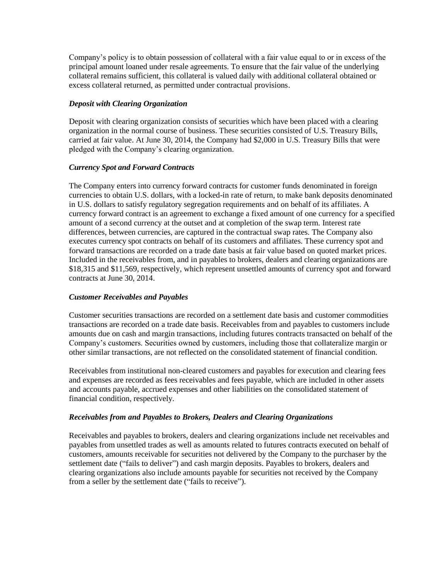Company's policy is to obtain possession of collateral with a fair value equal to or in excess of the principal amount loaned under resale agreements. To ensure that the fair value of the underlying collateral remains sufficient, this collateral is valued daily with additional collateral obtained or excess collateral returned, as permitted under contractual provisions.

#### *Deposit with Clearing Organization*

Deposit with clearing organization consists of securities which have been placed with a clearing organization in the normal course of business. These securities consisted of U.S. Treasury Bills, carried at fair value. At June 30, 2014, the Company had \$2,000 in U.S. Treasury Bills that were pledged with the Company's clearing organization.

### *Currency Spot and Forward Contracts*

The Company enters into currency forward contracts for customer funds denominated in foreign currencies to obtain U.S. dollars, with a locked-in rate of return, to make bank deposits denominated in U.S. dollars to satisfy regulatory segregation requirements and on behalf of its affiliates. A currency forward contract is an agreement to exchange a fixed amount of one currency for a specified amount of a second currency at the outset and at completion of the swap term. Interest rate differences, between currencies, are captured in the contractual swap rates. The Company also executes currency spot contracts on behalf of its customers and affiliates. These currency spot and forward transactions are recorded on a trade date basis at fair value based on quoted market prices. Included in the receivables from, and in payables to brokers, dealers and clearing organizations are \$18,315 and \$11,569, respectively, which represent unsettled amounts of currency spot and forward contracts at June 30, 2014.

#### *Customer Receivables and Payables*

Customer securities transactions are recorded on a settlement date basis and customer commodities transactions are recorded on a trade date basis. Receivables from and payables to customers include amounts due on cash and margin transactions, including futures contracts transacted on behalf of the Company's customers. Securities owned by customers, including those that collateralize margin or other similar transactions, are not reflected on the consolidated statement of financial condition.

Receivables from institutional non-cleared customers and payables for execution and clearing fees and expenses are recorded as fees receivables and fees payable, which are included in other assets and accounts payable, accrued expenses and other liabilities on the consolidated statement of financial condition, respectively.

## *Receivables from and Payables to Brokers, Dealers and Clearing Organizations*

Receivables and payables to brokers, dealers and clearing organizations include net receivables and payables from unsettled trades as well as amounts related to futures contracts executed on behalf of customers, amounts receivable for securities not delivered by the Company to the purchaser by the settlement date ("fails to deliver") and cash margin deposits. Payables to brokers, dealers and clearing organizations also include amounts payable for securities not received by the Company from a seller by the settlement date ("fails to receive").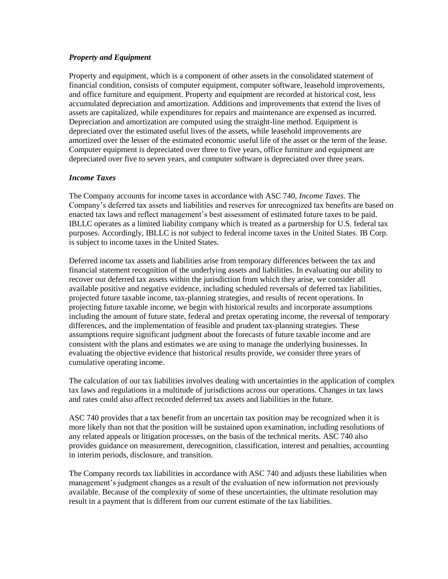#### *Property and Equipment*

Property and equipment, which is a component of other assets in the consolidated statement of financial condition, consists of computer equipment, computer software, leasehold improvements, and office furniture and equipment. Property and equipment are recorded at historical cost, less accumulated depreciation and amortization. Additions and improvements that extend the lives of assets are capitalized, while expenditures for repairs and maintenance are expensed as incurred. Depreciation and amortization are computed using the straight-line method. Equipment is depreciated over the estimated useful lives of the assets, while leasehold improvements are amortized over the lesser of the estimated economic useful life of the asset or the term of the lease. Computer equipment is depreciated over three to five years, office furniture and equipment are depreciated over five to seven years, and computer software is depreciated over three years.

### *Income Taxes*

The Company accounts for income taxes in accordance with ASC 740, *Income Taxes.* The Company's deferred tax assets and liabilities and reserves for unrecognized tax benefits are based on enacted tax laws and reflect management's best assessment of estimated future taxes to be paid. IBLLC operates as a limited liability company which is treated as a partnership for U.S. federal tax purposes. Accordingly, IBLLC is not subject to federal income taxes in the United States. IB Corp. is subject to income taxes in the United States.

Deferred income tax assets and liabilities arise from temporary differences between the tax and financial statement recognition of the underlying assets and liabilities. In evaluating our ability to recover our deferred tax assets within the jurisdiction from which they arise, we consider all available positive and negative evidence, including scheduled reversals of deferred tax liabilities, projected future taxable income, tax-planning strategies, and results of recent operations. In projecting future taxable income, we begin with historical results and incorporate assumptions including the amount of future state, federal and pretax operating income, the reversal of temporary differences, and the implementation of feasible and prudent tax-planning strategies. These assumptions require significant judgment about the forecasts of future taxable income and are consistent with the plans and estimates we are using to manage the underlying businesses. In evaluating the objective evidence that historical results provide, we consider three years of cumulative operating income.

The calculation of our tax liabilities involves dealing with uncertainties in the application of complex tax laws and regulations in a multitude of jurisdictions across our operations. Changes in tax laws and rates could also affect recorded deferred tax assets and liabilities in the future.

ASC 740 provides that a tax benefit from an uncertain tax position may be recognized when it is more likely than not that the position will be sustained upon examination, including resolutions of any related appeals or litigation processes, on the basis of the technical merits. ASC 740 also provides guidance on measurement, derecognition, classification, interest and penalties, accounting in interim periods, disclosure, and transition.

The Company records tax liabilities in accordance with ASC 740 and adjusts these liabilities when management's judgment changes as a result of the evaluation of new information not previously available. Because of the complexity of some of these uncertainties, the ultimate resolution may result in a payment that is different from our current estimate of the tax liabilities.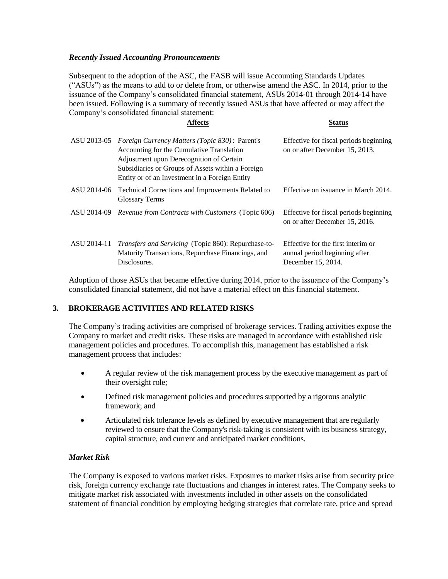#### *Recently Issued Accounting Pronouncements*

Subsequent to the adoption of the ASC, the FASB will issue Accounting Standards Updates ("ASUs") as the means to add to or delete from, or otherwise amend the ASC. In 2014, prior to the issuance of the Company's consolidated financial statement, ASUs 2014-01 through 2014-14 have been issued. Following is a summary of recently issued ASUs that have affected or may affect the Company's consolidated financial statement:

#### **Affects Status**

| ASU 2013-05 | <i>Foreign Currency Matters (Topic 830)</i> : Parent's<br>Accounting for the Cumulative Translation<br>Adjustment upon Derecognition of Certain<br>Subsidiaries or Groups of Assets within a Foreign<br>Entity or of an Investment in a Foreign Entity | Effective for fiscal periods beginning<br>on or after December 15, 2013.                  |
|-------------|--------------------------------------------------------------------------------------------------------------------------------------------------------------------------------------------------------------------------------------------------------|-------------------------------------------------------------------------------------------|
| ASU 2014-06 | Technical Corrections and Improvements Related to<br><b>Glossary Terms</b>                                                                                                                                                                             | Effective on issuance in March 2014.                                                      |
| ASU 2014-09 | <i>Revenue from Contracts with Customers (Topic 606)</i>                                                                                                                                                                                               | Effective for fiscal periods beginning<br>on or after December 15, 2016.                  |
| ASU 2014-11 | <i>Transfers and Servicing</i> (Topic 860): Repurchase-to-<br>Maturity Transactions, Repurchase Financings, and<br>Disclosures.                                                                                                                        | Effective for the first interim or<br>annual period beginning after<br>December 15, 2014. |

Adoption of those ASUs that became effective during 2014, prior to the issuance of the Company's consolidated financial statement, did not have a material effect on this financial statement.

#### **3. BROKERAGE ACTIVITIES AND RELATED RISKS**

The Company's trading activities are comprised of brokerage services. Trading activities expose the Company to market and credit risks. These risks are managed in accordance with established risk management policies and procedures. To accomplish this, management has established a risk management process that includes:

- A regular review of the risk management process by the executive management as part of their oversight role;
- Defined risk management policies and procedures supported by a rigorous analytic framework; and
- Articulated risk tolerance levels as defined by executive management that are regularly reviewed to ensure that the Company's risk-taking is consistent with its business strategy, capital structure, and current and anticipated market conditions.

#### *Market Risk*

The Company is exposed to various market risks. Exposures to market risks arise from security price risk, foreign currency exchange rate fluctuations and changes in interest rates. The Company seeks to mitigate market risk associated with investments included in other assets on the consolidated statement of financial condition by employing hedging strategies that correlate rate, price and spread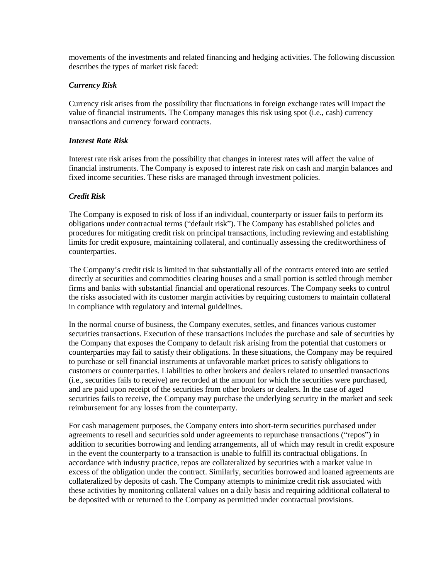movements of the investments and related financing and hedging activities. The following discussion describes the types of market risk faced:

#### *Currency Risk*

Currency risk arises from the possibility that fluctuations in foreign exchange rates will impact the value of financial instruments. The Company manages this risk using spot (i.e., cash) currency transactions and currency forward contracts.

### *Interest Rate Risk*

Interest rate risk arises from the possibility that changes in interest rates will affect the value of financial instruments. The Company is exposed to interest rate risk on cash and margin balances and fixed income securities. These risks are managed through investment policies.

### *Credit Risk*

The Company is exposed to risk of loss if an individual, counterparty or issuer fails to perform its obligations under contractual terms ("default risk"). The Company has established policies and procedures for mitigating credit risk on principal transactions, including reviewing and establishing limits for credit exposure, maintaining collateral, and continually assessing the creditworthiness of counterparties.

The Company's credit risk is limited in that substantially all of the contracts entered into are settled directly at securities and commodities clearing houses and a small portion is settled through member firms and banks with substantial financial and operational resources. The Company seeks to control the risks associated with its customer margin activities by requiring customers to maintain collateral in compliance with regulatory and internal guidelines.

In the normal course of business, the Company executes, settles, and finances various customer securities transactions. Execution of these transactions includes the purchase and sale of securities by the Company that exposes the Company to default risk arising from the potential that customers or counterparties may fail to satisfy their obligations. In these situations, the Company may be required to purchase or sell financial instruments at unfavorable market prices to satisfy obligations to customers or counterparties. Liabilities to other brokers and dealers related to unsettled transactions (i.e., securities fails to receive) are recorded at the amount for which the securities were purchased, and are paid upon receipt of the securities from other brokers or dealers. In the case of aged securities fails to receive, the Company may purchase the underlying security in the market and seek reimbursement for any losses from the counterparty.

For cash management purposes, the Company enters into short-term securities purchased under agreements to resell and securities sold under agreements to repurchase transactions ("repos") in addition to securities borrowing and lending arrangements, all of which may result in credit exposure in the event the counterparty to a transaction is unable to fulfill its contractual obligations. In accordance with industry practice, repos are collateralized by securities with a market value in excess of the obligation under the contract. Similarly, securities borrowed and loaned agreements are collateralized by deposits of cash. The Company attempts to minimize credit risk associated with these activities by monitoring collateral values on a daily basis and requiring additional collateral to be deposited with or returned to the Company as permitted under contractual provisions.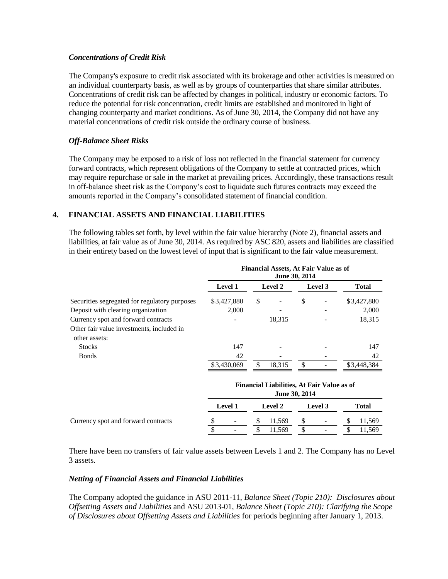#### *Concentrations of Credit Risk*

The Company's exposure to credit risk associated with its brokerage and other activities is measured on an individual counterparty basis, as well as by groups of counterparties that share similar attributes. Concentrations of credit risk can be affected by changes in political, industry or economic factors. To reduce the potential for risk concentration, credit limits are established and monitored in light of changing counterparty and market conditions. As of June 30, 2014, the Company did not have any material concentrations of credit risk outside the ordinary course of business.

#### *Off-Balance Sheet Risks*

The Company may be exposed to a risk of loss not reflected in the financial statement for currency forward contracts, which represent obligations of the Company to settle at contracted prices, which may require repurchase or sale in the market at prevailing prices. Accordingly, these transactions result in off-balance sheet risk as the Company's cost to liquidate such futures contracts may exceed the amounts reported in the Company's consolidated statement of financial condition.

### **4. FINANCIAL ASSETS AND FINANCIAL LIABILITIES**

The following tables set forth, by level within the fair value hierarchy (Note 2), financial assets and liabilities, at fair value as of June 30, 2014. As required by ASC 820, assets and liabilities are classified in their entirety based on the lowest level of input that is significant to the fair value measurement.

|                                                            | <b>Financial Assets, At Fair Value as of</b><br>June 30, 2014 |         |        |               |  |              |  |  |
|------------------------------------------------------------|---------------------------------------------------------------|---------|--------|---------------|--|--------------|--|--|
|                                                            | <b>Level 1</b>                                                | Level 2 |        | Level 3       |  | <b>Total</b> |  |  |
| Securities segregated for regulatory purposes              | \$3,427,880                                                   | \$      |        | \$            |  | \$3,427,880  |  |  |
| Deposit with clearing organization                         | 2.000                                                         |         |        |               |  | 2,000        |  |  |
| Currency spot and forward contracts                        |                                                               |         | 18,315 |               |  | 18,315       |  |  |
| Other fair value investments, included in<br>other assets: |                                                               |         |        |               |  |              |  |  |
| <b>Stocks</b>                                              | 147                                                           |         |        |               |  | 147          |  |  |
| <b>Bonds</b>                                               | 42                                                            |         |        |               |  | 42           |  |  |
|                                                            | \$3,430,069                                                   | £.      | 18,315 | $\mathcal{S}$ |  | \$3,448,384  |  |  |

|                                     | <b>Financial Liabilities, At Fair Value as of</b> |   |                |  |                          |  |        |  |  |  |
|-------------------------------------|---------------------------------------------------|---|----------------|--|--------------------------|--|--------|--|--|--|
|                                     | June 30, 2014                                     |   |                |  |                          |  |        |  |  |  |
|                                     | <b>Level 1</b>                                    |   | <b>Level 2</b> |  | Level 3                  |  | Total  |  |  |  |
| Currency spot and forward contracts | $\overline{\phantom{a}}$                          | Ж | 11.569         |  | -                        |  | 11.569 |  |  |  |
|                                     | ۰                                                 |   | 11.569         |  | $\overline{\phantom{a}}$ |  | .1.569 |  |  |  |

There have been no transfers of fair value assets between Levels 1 and 2. The Company has no Level 3 assets.

#### *Netting of Financial Assets and Financial Liabilities*

The Company adopted the guidance in ASU 2011-11, *Balance Sheet (Topic 210): Disclosures about Offsetting Assets and Liabilities* and ASU 2013-01, *Balance Sheet (Topic 210): Clarifying the Scope of Disclosures about Offsetting Assets and Liabilities* for periods beginning after January 1, 2013.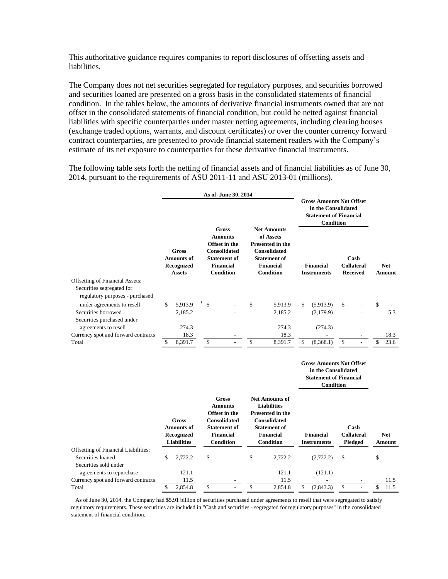This authoritative guidance requires companies to report disclosures of offsetting assets and liabilities.

The Company does not net securities segregated for regulatory purposes, and securities borrowed and securities loaned are presented on a gross basis in the consolidated statements of financial condition. In the tables below, the amounts of derivative financial instruments owned that are not offset in the consolidated statements of financial condition, but could be netted against financial liabilities with specific counterparties under master netting agreements, including clearing houses (exchange traded options, warrants, and discount certificates) or over the counter currency forward contract counterparties, are presented to provide financial statement readers with the Company's estimate of its net exposure to counterparties for these derivative financial instruments.

The following table sets forth the netting of financial assets and of financial liabilities as of June 30, 2014, pursuant to the requirements of ASU 2011-11 and ASU 2013-01 (millions).

|                                                              |                                                           |         |              | As of June 30, 2014 |              |                                                                                                                                       |               | <b>Gross Amounts Not Offset</b><br>in the Consolidated<br><b>Statement of Financial</b><br>Condition                                             |              |                                 |    |                                              |  |                      |
|--------------------------------------------------------------|-----------------------------------------------------------|---------|--------------|---------------------|--------------|---------------------------------------------------------------------------------------------------------------------------------------|---------------|--------------------------------------------------------------------------------------------------------------------------------------------------|--------------|---------------------------------|----|----------------------------------------------|--|----------------------|
|                                                              | Gross<br><b>Amounts of</b><br>Recognized<br><b>Assets</b> |         |              |                     |              | <b>Gross</b><br><b>Amounts</b><br>Offset in the<br><b>Consolidated</b><br><b>Statement of</b><br><b>Financial</b><br><b>Condition</b> |               | <b>Net Amounts</b><br>of Assets<br><b>Presented in the</b><br><b>Consolidated</b><br><b>Statement of</b><br><b>Financial</b><br><b>Condition</b> |              | Financial<br><b>Instruments</b> |    | Cash<br><b>Collateral</b><br><b>Received</b> |  | <b>Net</b><br>Amount |
| <b>Offsetting of Financial Assets:</b>                       |                                                           |         |              |                     |              |                                                                                                                                       |               |                                                                                                                                                  |              |                                 |    |                                              |  |                      |
| Securities segregated for<br>regulatory purposes - purchased |                                                           |         |              |                     |              |                                                                                                                                       |               |                                                                                                                                                  |              |                                 |    |                                              |  |                      |
| under agreements to resell                                   | \$                                                        | 5,913.9 | $\mathbb{S}$ |                     | $\mathbb{S}$ | 5,913.9                                                                                                                               | <sup>\$</sup> | (5,913.9)                                                                                                                                        | $\mathbb{S}$ |                                 | \$ |                                              |  |                      |
| Securities borrowed                                          |                                                           | 2,185.2 |              |                     |              | 2,185.2                                                                                                                               |               | (2,179.9)                                                                                                                                        |              |                                 |    | 5.3                                          |  |                      |
| Securities purchased under                                   |                                                           |         |              |                     |              |                                                                                                                                       |               |                                                                                                                                                  |              |                                 |    |                                              |  |                      |
| agreements to resell                                         |                                                           | 274.3   |              |                     |              | 274.3                                                                                                                                 |               | (274.3)                                                                                                                                          |              |                                 |    |                                              |  |                      |
| Currency spot and forward contracts                          |                                                           | 18.3    |              |                     |              | 18.3                                                                                                                                  |               |                                                                                                                                                  |              |                                 |    | 18.3                                         |  |                      |
| Total                                                        | \$.                                                       | 8,391.7 | \$           |                     | \$           | 8,391.7                                                                                                                               | \$.           | (8,368.1)                                                                                                                                        | $\mathbb{S}$ |                                 | S. | 23.6                                         |  |                      |

#### **Gross Amounts Not Offset in the Consolidated Statement of Financial Condition**

|                                             |    | <b>Gross</b><br><b>Amounts of</b><br>Recognized<br><b>Liabilities</b> | <b>Gross</b><br><b>Amounts</b><br>Offset in the<br><b>Consolidated</b><br><b>Statement of</b><br>Financial<br>Condition |                          | <b>Net Amounts of</b><br><b>Liabilities</b><br><b>Presented in the</b><br><b>Consolidated</b><br><b>Statement of</b><br>Financial<br><b>Condition</b> |         | Financial<br><b>Instruments</b> |           | Cash<br><b>Collateral</b><br>Pledged |                          | <b>Net</b><br>Amount |      |
|---------------------------------------------|----|-----------------------------------------------------------------------|-------------------------------------------------------------------------------------------------------------------------|--------------------------|-------------------------------------------------------------------------------------------------------------------------------------------------------|---------|---------------------------------|-----------|--------------------------------------|--------------------------|----------------------|------|
| <b>Offsetting of Financial Liabilities:</b> |    |                                                                       |                                                                                                                         |                          |                                                                                                                                                       |         |                                 |           |                                      |                          |                      |      |
| Securities loaned                           | \$ | 2.722.2                                                               | \$                                                                                                                      | $\overline{\phantom{a}}$ | \$                                                                                                                                                    | 2,722.2 |                                 | (2,722.2) | <sup>\$</sup>                        |                          | \$                   |      |
| Securities sold under                       |    |                                                                       |                                                                                                                         |                          |                                                                                                                                                       |         |                                 |           |                                      |                          |                      |      |
| agreements to repurchase                    |    | 121.1                                                                 |                                                                                                                         | $\overline{\phantom{a}}$ |                                                                                                                                                       | 121.1   |                                 | (121.1)   |                                      |                          |                      |      |
| Currency spot and forward contracts         |    | 11.5                                                                  |                                                                                                                         |                          |                                                                                                                                                       | 11.5    |                                 | -         |                                      |                          |                      | 11.5 |
| Total                                       |    | 2.854.8                                                               |                                                                                                                         |                          |                                                                                                                                                       | 2.854.8 |                                 | (2,843.3) | \$                                   | $\overline{\phantom{0}}$ | S.                   | 11.5 |

<sup>1.</sup> As of June 30, 2014, the Company had \$5.91 billion of securities purchased under agreements to resell that were segregated to satisfy regulatory requirements. These securities are included in "Cash and securities - segregated for regulatory purposes" in the consolidated statement of financial condition.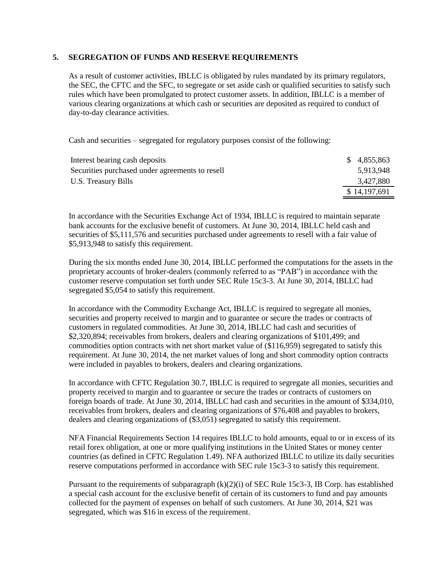#### **5. SEGREGATION OF FUNDS AND RESERVE REQUIREMENTS**

As a result of customer activities, IBLLC is obligated by rules mandated by its primary regulators, the SEC, the CFTC and the SFC, to segregate or set aside cash or qualified securities to satisfy such rules which have been promulgated to protect customer assets. In addition, IBLLC is a member of various clearing organizations at which cash or securities are deposited as required to conduct of day-to-day clearance activities.

Cash and securities – segregated for regulatory purposes consist of the following:

| Interest bearing cash deposits                  | \$4,855,863  |
|-------------------------------------------------|--------------|
| Securities purchased under agreements to resell | 5.913.948    |
| U.S. Treasury Bills                             | 3,427,880    |
|                                                 | \$14,197,691 |

In accordance with the Securities Exchange Act of 1934, IBLLC is required to maintain separate bank accounts for the exclusive benefit of customers. At June 30, 2014, IBLLC held cash and securities of \$5,111,576 and securities purchased under agreements to resell with a fair value of \$5,913,948 to satisfy this requirement.

During the six months ended June 30, 2014, IBLLC performed the computations for the assets in the proprietary accounts of broker-dealers (commonly referred to as "PAB") in accordance with the customer reserve computation set forth under SEC Rule 15c3-3. At June 30, 2014, IBLLC had segregated \$5,054 to satisfy this requirement.

In accordance with the Commodity Exchange Act, IBLLC is required to segregate all monies, securities and property received to margin and to guarantee or secure the trades or contracts of customers in regulated commodities. At June 30, 2014, IBLLC had cash and securities of \$2,320,894; receivables from brokers, dealers and clearing organizations of \$101,499; and commodities option contracts with net short market value of (\$116,959) segregated to satisfy this requirement. At June 30, 2014, the net market values of long and short commodity option contracts were included in payables to brokers, dealers and clearing organizations.

In accordance with CFTC Regulation 30.7, IBLLC is required to segregate all monies, securities and property received to margin and to guarantee or secure the trades or contracts of customers on foreign boards of trade. At June 30, 2014, IBLLC had cash and securities in the amount of \$334,010, receivables from brokers, dealers and clearing organizations of \$76,408 and payables to brokers, dealers and clearing organizations of (\$3,051) segregated to satisfy this requirement.

NFA Financial Requirements Section 14 requires IBLLC to hold amounts, equal to or in excess of its retail forex obligation, at one or more qualifying institutions in the United States or money center countries (as defined in CFTC Regulation 1.49). NFA authorized IBLLC to utilize its daily securities reserve computations performed in accordance with SEC rule 15c3-3 to satisfy this requirement.

Pursuant to the requirements of subparagraph  $(k)(2)(i)$  of SEC Rule 15c3-3, IB Corp. has established a special cash account for the exclusive benefit of certain of its customers to fund and pay amounts collected for the payment of expenses on behalf of such customers. At June 30, 2014, \$21 was segregated, which was \$16 in excess of the requirement.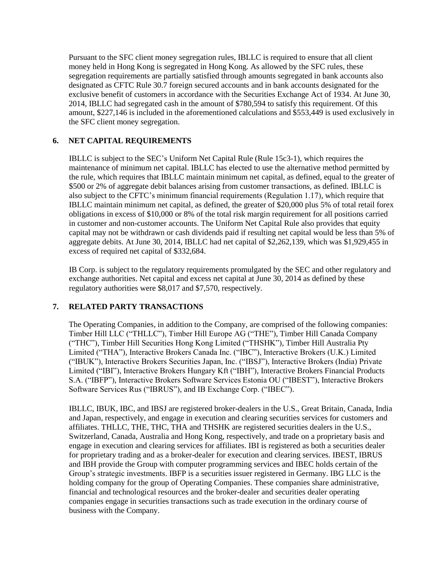Pursuant to the SFC client money segregation rules, IBLLC is required to ensure that all client money held in Hong Kong is segregated in Hong Kong. As allowed by the SFC rules, these segregation requirements are partially satisfied through amounts segregated in bank accounts also designated as CFTC Rule 30.7 foreign secured accounts and in bank accounts designated for the exclusive benefit of customers in accordance with the Securities Exchange Act of 1934. At June 30, 2014, IBLLC had segregated cash in the amount of \$780,594 to satisfy this requirement. Of this amount, \$227,146 is included in the aforementioned calculations and \$553,449 is used exclusively in the SFC client money segregation.

# **6. NET CAPITAL REQUIREMENTS**

IBLLC is subject to the SEC's Uniform Net Capital Rule (Rule 15c3-1), which requires the maintenance of minimum net capital. IBLLC has elected to use the alternative method permitted by the rule, which requires that IBLLC maintain minimum net capital, as defined, equal to the greater of \$500 or 2% of aggregate debit balances arising from customer transactions, as defined. IBLLC is also subject to the CFTC's minimum financial requirements (Regulation 1.17), which require that IBLLC maintain minimum net capital, as defined, the greater of \$20,000 plus 5% of total retail forex obligations in excess of \$10,000 or 8% of the total risk margin requirement for all positions carried in customer and non-customer accounts. The Uniform Net Capital Rule also provides that equity capital may not be withdrawn or cash dividends paid if resulting net capital would be less than 5% of aggregate debits. At June 30, 2014, IBLLC had net capital of \$2,262,139, which was \$1,929,455 in excess of required net capital of \$332,684.

IB Corp. is subject to the regulatory requirements promulgated by the SEC and other regulatory and exchange authorities. Net capital and excess net capital at June 30, 2014 as defined by these regulatory authorities were \$8,017 and \$7,570, respectively.

## **7. RELATED PARTY TRANSACTIONS**

The Operating Companies, in addition to the Company, are comprised of the following companies: Timber Hill LLC ("THLLC"), Timber Hill Europe AG ("THE"), Timber Hill Canada Company ("THC"), Timber Hill Securities Hong Kong Limited ("THSHK"), Timber Hill Australia Pty Limited ("THA"), Interactive Brokers Canada Inc. ("IBC"), Interactive Brokers (U.K.) Limited ("IBUK"), Interactive Brokers Securities Japan, Inc. ("IBSJ"), Interactive Brokers (India) Private Limited ("IBI"), Interactive Brokers Hungary Kft ("IBH"), Interactive Brokers Financial Products S.A. ("IBFP"), Interactive Brokers Software Services Estonia OU ("IBEST"), Interactive Brokers Software Services Rus ("IBRUS"), and IB Exchange Corp. ("IBEC").

IBLLC, IBUK, IBC, and IBSJ are registered broker-dealers in the U.S., Great Britain, Canada, India and Japan, respectively, and engage in execution and clearing securities services for customers and affiliates. THLLC, THE, THC, THA and THSHK are registered securities dealers in the U.S., Switzerland, Canada, Australia and Hong Kong, respectively, and trade on a proprietary basis and engage in execution and clearing services for affiliates. IBI is registered as both a securities dealer for proprietary trading and as a broker-dealer for execution and clearing services. IBEST, IBRUS and IBH provide the Group with computer programming services and IBEC holds certain of the Group's strategic investments. IBFP is a securities issuer registered in Germany. IBG LLC is the holding company for the group of Operating Companies. These companies share administrative, financial and technological resources and the broker-dealer and securities dealer operating companies engage in securities transactions such as trade execution in the ordinary course of business with the Company.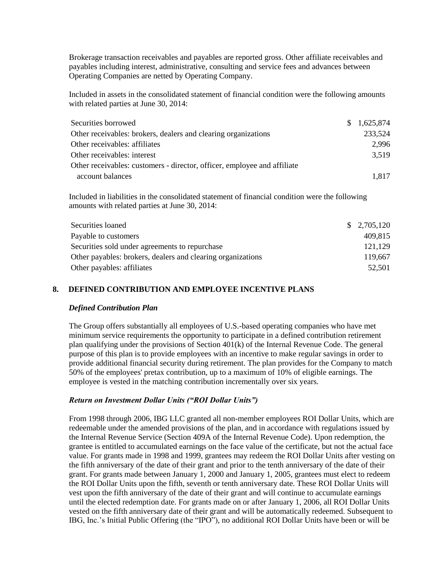Brokerage transaction receivables and payables are reported gross. Other affiliate receivables and payables including interest, administrative, consulting and service fees and advances between Operating Companies are netted by Operating Company.

Included in assets in the consolidated statement of financial condition were the following amounts with related parties at June 30, 2014:

| Securities borrowed                                                      | \$1,625,874 |
|--------------------------------------------------------------------------|-------------|
| Other receivables: brokers, dealers and clearing organizations           | 233,524     |
| Other receivables: affiliates                                            | 2.996       |
| Other receivables: interest                                              | 3,519       |
| Other receivables: customers - director, officer, employee and affiliate |             |
| account balances                                                         | 1,817       |

Included in liabilities in the consolidated statement of financial condition were the following amounts with related parties at June 30, 2014:

| Securities loaned                                           | \$2,705,120 |
|-------------------------------------------------------------|-------------|
| Payable to customers                                        | 409,815     |
| Securities sold under agreements to repurchase              | 121,129     |
| Other payables: brokers, dealers and clearing organizations | 119,667     |
| Other payables: affiliates                                  | 52.501      |

#### **8. DEFINED CONTRIBUTION AND EMPLOYEE INCENTIVE PLANS**

#### *Defined Contribution Plan*

The Group offers substantially all employees of U.S.-based operating companies who have met minimum service requirements the opportunity to participate in a defined contribution retirement plan qualifying under the provisions of Section 401(k) of the Internal Revenue Code. The general purpose of this plan is to provide employees with an incentive to make regular savings in order to provide additional financial security during retirement. The plan provides for the Company to match 50% of the employees' pretax contribution, up to a maximum of 10% of eligible earnings. The employee is vested in the matching contribution incrementally over six years.

#### *Return on Investment Dollar Units ("ROI Dollar Units")*

From 1998 through 2006, IBG LLC granted all non-member employees ROI Dollar Units, which are redeemable under the amended provisions of the plan, and in accordance with regulations issued by the Internal Revenue Service (Section 409A of the Internal Revenue Code). Upon redemption, the grantee is entitled to accumulated earnings on the face value of the certificate, but not the actual face value. For grants made in 1998 and 1999, grantees may redeem the ROI Dollar Units after vesting on the fifth anniversary of the date of their grant and prior to the tenth anniversary of the date of their grant. For grants made between January 1, 2000 and January 1, 2005, grantees must elect to redeem the ROI Dollar Units upon the fifth, seventh or tenth anniversary date. These ROI Dollar Units will vest upon the fifth anniversary of the date of their grant and will continue to accumulate earnings until the elected redemption date. For grants made on or after January 1, 2006, all ROI Dollar Units vested on the fifth anniversary date of their grant and will be automatically redeemed. Subsequent to IBG, Inc.'s Initial Public Offering (the "IPO"), no additional ROI Dollar Units have been or will be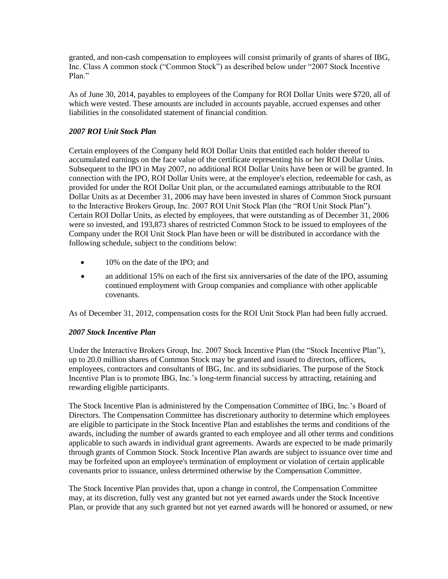granted, and non-cash compensation to employees will consist primarily of grants of shares of IBG, Inc. Class A common stock ("Common Stock") as described below under "2007 Stock Incentive Plan<sup>"</sup>

As of June 30, 2014, payables to employees of the Company for ROI Dollar Units were \$720, all of which were vested. These amounts are included in accounts payable, accrued expenses and other liabilities in the consolidated statement of financial condition.

### *2007 ROI Unit Stock Plan*

Certain employees of the Company held ROI Dollar Units that entitled each holder thereof to accumulated earnings on the face value of the certificate representing his or her ROI Dollar Units. Subsequent to the IPO in May 2007, no additional ROI Dollar Units have been or will be granted. In connection with the IPO, ROI Dollar Units were, at the employee's election, redeemable for cash, as provided for under the ROI Dollar Unit plan, or the accumulated earnings attributable to the ROI Dollar Units as at December 31, 2006 may have been invested in shares of Common Stock pursuant to the Interactive Brokers Group, Inc. 2007 ROI Unit Stock Plan (the "ROI Unit Stock Plan"). Certain ROI Dollar Units, as elected by employees, that were outstanding as of December 31, 2006 were so invested, and 193,873 shares of restricted Common Stock to be issued to employees of the Company under the ROI Unit Stock Plan have been or will be distributed in accordance with the following schedule, subject to the conditions below:

- 10% on the date of the IPO; and
- an additional 15% on each of the first six anniversaries of the date of the IPO, assuming continued employment with Group companies and compliance with other applicable covenants.

As of December 31, 2012, compensation costs for the ROI Unit Stock Plan had been fully accrued.

#### *2007 Stock Incentive Plan*

Under the Interactive Brokers Group, Inc. 2007 Stock Incentive Plan (the "Stock Incentive Plan"), up to 20.0 million shares of Common Stock may be granted and issued to directors, officers, employees, contractors and consultants of IBG, Inc. and its subsidiaries. The purpose of the Stock Incentive Plan is to promote IBG, Inc.'s long-term financial success by attracting, retaining and rewarding eligible participants.

The Stock Incentive Plan is administered by the Compensation Committee of IBG, Inc.'s Board of Directors. The Compensation Committee has discretionary authority to determine which employees are eligible to participate in the Stock Incentive Plan and establishes the terms and conditions of the awards, including the number of awards granted to each employee and all other terms and conditions applicable to such awards in individual grant agreements. Awards are expected to be made primarily through grants of Common Stock. Stock Incentive Plan awards are subject to issuance over time and may be forfeited upon an employee's termination of employment or violation of certain applicable covenants prior to issuance, unless determined otherwise by the Compensation Committee.

The Stock Incentive Plan provides that, upon a change in control, the Compensation Committee may, at its discretion, fully vest any granted but not yet earned awards under the Stock Incentive Plan, or provide that any such granted but not yet earned awards will be honored or assumed, or new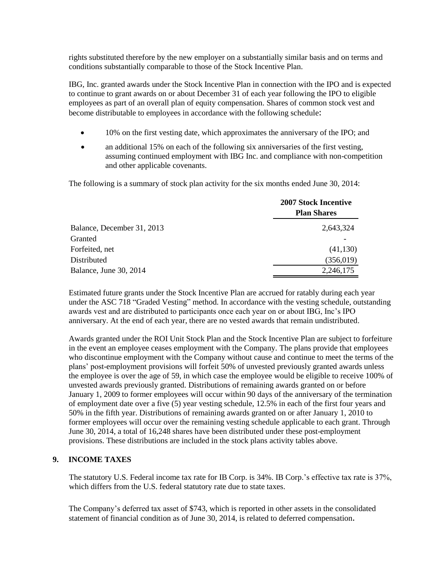rights substituted therefore by the new employer on a substantially similar basis and on terms and conditions substantially comparable to those of the Stock Incentive Plan.

IBG, Inc. granted awards under the Stock Incentive Plan in connection with the IPO and is expected to continue to grant awards on or about December 31 of each year following the IPO to eligible employees as part of an overall plan of equity compensation. Shares of common stock vest and become distributable to employees in accordance with the following schedule:

- 10% on the first vesting date, which approximates the anniversary of the IPO; and
- an additional 15% on each of the following six anniversaries of the first vesting, assuming continued employment with IBG Inc. and compliance with non-competition and other applicable covenants.

The following is a summary of stock plan activity for the six months ended June 30, 2014:

|                            | <b>2007 Stock Incentive</b><br><b>Plan Shares</b> |
|----------------------------|---------------------------------------------------|
| Balance, December 31, 2013 | 2,643,324                                         |
| Granted                    |                                                   |
| Forfeited, net             | (41, 130)                                         |
| Distributed                | (356, 019)                                        |
| Balance, June 30, 2014     | 2,246,175                                         |

Estimated future grants under the Stock Incentive Plan are accrued for ratably during each year under the ASC 718 "Graded Vesting" method. In accordance with the vesting schedule, outstanding awards vest and are distributed to participants once each year on or about IBG, Inc's IPO anniversary. At the end of each year, there are no vested awards that remain undistributed.

Awards granted under the ROI Unit Stock Plan and the Stock Incentive Plan are subject to forfeiture in the event an employee ceases employment with the Company. The plans provide that employees who discontinue employment with the Company without cause and continue to meet the terms of the plans' post-employment provisions will forfeit 50% of unvested previously granted awards unless the employee is over the age of 59, in which case the employee would be eligible to receive 100% of unvested awards previously granted. Distributions of remaining awards granted on or before January 1, 2009 to former employees will occur within 90 days of the anniversary of the termination of employment date over a five (5) year vesting schedule, 12.5% in each of the first four years and 50% in the fifth year. Distributions of remaining awards granted on or after January 1, 2010 to former employees will occur over the remaining vesting schedule applicable to each grant. Through June 30, 2014, a total of 16,248 shares have been distributed under these post-employment provisions. These distributions are included in the stock plans activity tables above.

#### **9. INCOME TAXES**

The statutory U.S. Federal income tax rate for IB Corp. is 34%. IB Corp.'s effective tax rate is 37%, which differs from the U.S. federal statutory rate due to state taxes.

The Company's deferred tax asset of \$743, which is reported in other assets in the consolidated statement of financial condition as of June 30, 2014, is related to deferred compensation.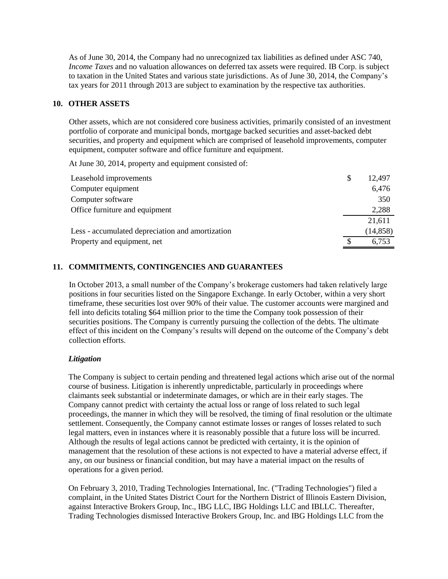As of June 30, 2014, the Company had no unrecognized tax liabilities as defined under ASC 740, *Income Taxes* and no valuation allowances on deferred tax assets were required. IB Corp. is subject to taxation in the United States and various state jurisdictions. As of June 30, 2014, the Company's tax years for 2011 through 2013 are subject to examination by the respective tax authorities.

#### **10. OTHER ASSETS**

Other assets, which are not considered core business activities, primarily consisted of an investment portfolio of corporate and municipal bonds, mortgage backed securities and asset-backed debt securities, and property and equipment which are comprised of leasehold improvements, computer equipment, computer software and office furniture and equipment.

At June 30, 2014, property and equipment consisted of:

| Leasehold improvements                           | \$<br>12,497 |
|--------------------------------------------------|--------------|
| Computer equipment                               | 6,476        |
| Computer software                                | 350          |
| Office furniture and equipment                   | 2,288        |
|                                                  | 21,611       |
| Less - accumulated depreciation and amortization | (14, 858)    |
| Property and equipment, net                      | 6,753        |

#### **11. COMMITMENTS, CONTINGENCIES AND GUARANTEES**

In October 2013, a small number of the Company's brokerage customers had taken relatively large positions in four securities listed on the Singapore Exchange. In early October, within a very short timeframe, these securities lost over 90% of their value. The customer accounts were margined and fell into deficits totaling \$64 million prior to the time the Company took possession of their securities positions. The Company is currently pursuing the collection of the debts. The ultimate effect of this incident on the Company's results will depend on the outcome of the Company's debt collection efforts.

#### *Litigation*

The Company is subject to certain pending and threatened legal actions which arise out of the normal course of business. Litigation is inherently unpredictable, particularly in proceedings where claimants seek substantial or indeterminate damages, or which are in their early stages. The Company cannot predict with certainty the actual loss or range of loss related to such legal proceedings, the manner in which they will be resolved, the timing of final resolution or the ultimate settlement. Consequently, the Company cannot estimate losses or ranges of losses related to such legal matters, even in instances where it is reasonably possible that a future loss will be incurred. Although the results of legal actions cannot be predicted with certainty, it is the opinion of management that the resolution of these actions is not expected to have a material adverse effect, if any, on our business or financial condition, but may have a material impact on the results of operations for a given period.

On February 3, 2010, Trading Technologies International, Inc. ("Trading Technologies") filed a complaint, in the United States District Court for the Northern District of Illinois Eastern Division, against Interactive Brokers Group, Inc., IBG LLC, IBG Holdings LLC and IBLLC. Thereafter, Trading Technologies dismissed Interactive Brokers Group, Inc. and IBG Holdings LLC from the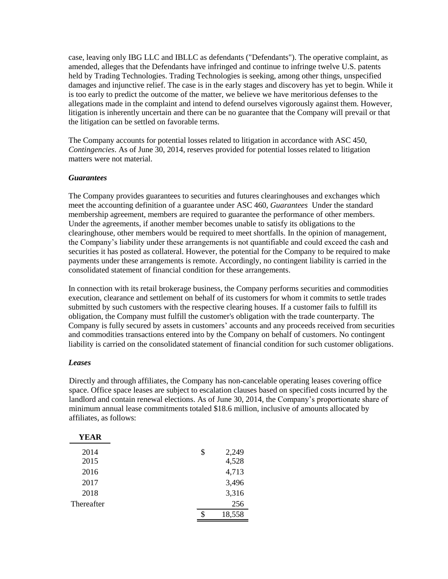case, leaving only IBG LLC and IBLLC as defendants ("Defendants"). The operative complaint, as amended, alleges that the Defendants have infringed and continue to infringe twelve U.S. patents held by Trading Technologies. Trading Technologies is seeking, among other things, unspecified damages and injunctive relief. The case is in the early stages and discovery has yet to begin. While it is too early to predict the outcome of the matter, we believe we have meritorious defenses to the allegations made in the complaint and intend to defend ourselves vigorously against them. However, litigation is inherently uncertain and there can be no guarantee that the Company will prevail or that the litigation can be settled on favorable terms.

The Company accounts for potential losses related to litigation in accordance with ASC 450, *Contingencies*. As of June 30, 2014, reserves provided for potential losses related to litigation matters were not material.

#### *Guarantees*

The Company provides guarantees to securities and futures clearinghouses and exchanges which meet the accounting definition of a guarantee under ASC 460, *Guarantees* Under the standard membership agreement, members are required to guarantee the performance of other members. Under the agreements, if another member becomes unable to satisfy its obligations to the clearinghouse, other members would be required to meet shortfalls. In the opinion of management, the Company's liability under these arrangements is not quantifiable and could exceed the cash and securities it has posted as collateral. However, the potential for the Company to be required to make payments under these arrangements is remote. Accordingly, no contingent liability is carried in the consolidated statement of financial condition for these arrangements.

In connection with its retail brokerage business, the Company performs securities and commodities execution, clearance and settlement on behalf of its customers for whom it commits to settle trades submitted by such customers with the respective clearing houses. If a customer fails to fulfill its obligation, the Company must fulfill the customer's obligation with the trade counterparty. The Company is fully secured by assets in customers' accounts and any proceeds received from securities and commodities transactions entered into by the Company on behalf of customers. No contingent liability is carried on the consolidated statement of financial condition for such customer obligations.

#### *Leases*

Directly and through affiliates, the Company has non-cancelable operating leases covering office space. Office space leases are subject to escalation clauses based on specified costs incurred by the landlord and contain renewal elections. As of June 30, 2014, the Company's proportionate share of minimum annual lease commitments totaled \$18.6 million, inclusive of amounts allocated by affiliates, as follows:

| <b>YEAR</b> |              |
|-------------|--------------|
| 2014        | \$<br>2,249  |
| 2015        | 4,528        |
| 2016        | 4,713        |
| 2017        | 3,496        |
| 2018        | 3,316        |
| Thereafter  | 256          |
|             | \$<br>18,558 |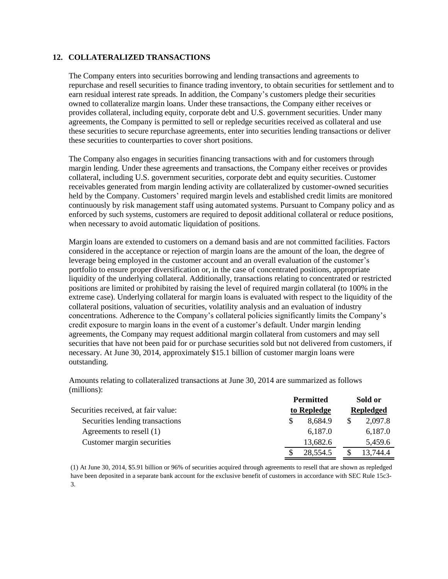#### **12. COLLATERALIZED TRANSACTIONS**

The Company enters into securities borrowing and lending transactions and agreements to repurchase and resell securities to finance trading inventory, to obtain securities for settlement and to earn residual interest rate spreads. In addition, the Company's customers pledge their securities owned to collateralize margin loans. Under these transactions, the Company either receives or provides collateral, including equity, corporate debt and U.S. government securities. Under many agreements, the Company is permitted to sell or repledge securities received as collateral and use these securities to secure repurchase agreements, enter into securities lending transactions or deliver these securities to counterparties to cover short positions.

The Company also engages in securities financing transactions with and for customers through margin lending. Under these agreements and transactions, the Company either receives or provides collateral, including U.S. government securities, corporate debt and equity securities. Customer receivables generated from margin lending activity are collateralized by customer-owned securities held by the Company. Customers' required margin levels and established credit limits are monitored continuously by risk management staff using automated systems. Pursuant to Company policy and as enforced by such systems, customers are required to deposit additional collateral or reduce positions, when necessary to avoid automatic liquidation of positions.

Margin loans are extended to customers on a demand basis and are not committed facilities. Factors considered in the acceptance or rejection of margin loans are the amount of the loan, the degree of leverage being employed in the customer account and an overall evaluation of the customer's portfolio to ensure proper diversification or, in the case of concentrated positions, appropriate liquidity of the underlying collateral. Additionally, transactions relating to concentrated or restricted positions are limited or prohibited by raising the level of required margin collateral (to 100% in the extreme case). Underlying collateral for margin loans is evaluated with respect to the liquidity of the collateral positions, valuation of securities, volatility analysis and an evaluation of industry concentrations. Adherence to the Company's collateral policies significantly limits the Company's credit exposure to margin loans in the event of a customer's default. Under margin lending agreements, the Company may request additional margin collateral from customers and may sell securities that have not been paid for or purchase securities sold but not delivered from customers, if necessary. At June 30, 2014, approximately \$15.1 billion of customer margin loans were outstanding.

Amounts relating to collateralized transactions at June 30, 2014 are summarized as follows (millions):

|                                     | <b>Permitted</b> | Sold or          |
|-------------------------------------|------------------|------------------|
| Securities received, at fair value: | to Repledge      | <b>Repledged</b> |
| Securities lending transactions     | 8,684.9          | 2,097.8<br>S     |
| Agreements to resell (1)            | 6,187.0          | 6,187.0          |
| Customer margin securities          | 13,682.6         | 5,459.6          |
|                                     | 28,554.5         | 13,744.4<br>S    |

(1) At June 30, 2014, \$5.91 billion or 96% of securities acquired through agreements to resell that are shown as repledged have been deposited in a separate bank account for the exclusive benefit of customers in accordance with SEC Rule 15c3- 3.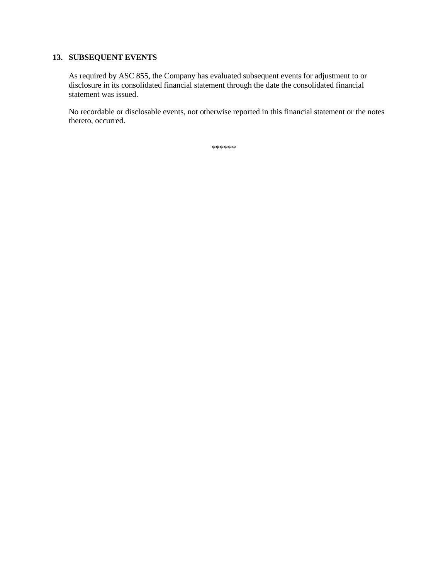# **13. SUBSEQUENT EVENTS**

As required by ASC 855, the Company has evaluated subsequent events for adjustment to or disclosure in its consolidated financial statement through the date the consolidated financial statement was issued.

No recordable or disclosable events, not otherwise reported in this financial statement or the notes thereto, occurred.

\*\*\*\*\*\*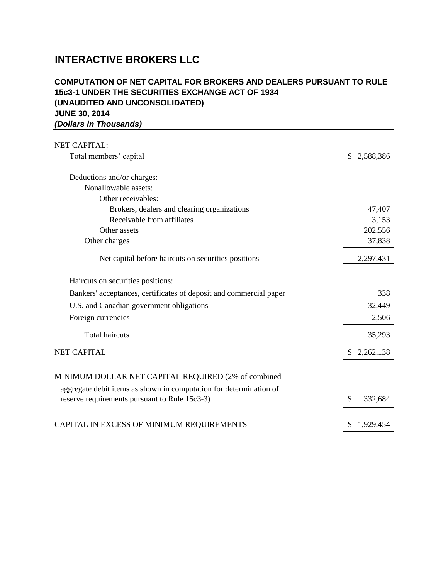# **JUNE 30, 2014** *(Dollars in Thousands)* **COMPUTATION OF NET CAPITAL FOR BROKERS AND DEALERS PURSUANT TO RULE 15c3-1 UNDER THE SECURITIES EXCHANGE ACT OF 1934 (UNAUDITED AND UNCONSOLIDATED)**

| <b>NET CAPITAL:</b>                                                                                                       |                  |
|---------------------------------------------------------------------------------------------------------------------------|------------------|
| Total members' capital                                                                                                    | 2,588,386<br>\$. |
| Deductions and/or charges:                                                                                                |                  |
| Nonallowable assets:                                                                                                      |                  |
| Other receivables:                                                                                                        |                  |
| Brokers, dealers and clearing organizations                                                                               | 47,407           |
| Receivable from affiliates                                                                                                | 3,153            |
| Other assets                                                                                                              | 202,556          |
| Other charges                                                                                                             | 37,838           |
| Net capital before haircuts on securities positions                                                                       | 2,297,431        |
| Haircuts on securities positions:                                                                                         |                  |
| Bankers' acceptances, certificates of deposit and commercial paper                                                        | 338              |
| U.S. and Canadian government obligations                                                                                  | 32,449           |
| Foreign currencies                                                                                                        | 2,506            |
| <b>Total haircuts</b>                                                                                                     | 35,293           |
| <b>NET CAPITAL</b>                                                                                                        | 2,262,138        |
| MINIMUM DOLLAR NET CAPITAL REQUIRED (2% of combined<br>aggregate debit items as shown in computation for determination of |                  |
| reserve requirements pursuant to Rule 15c3-3)                                                                             | 332,684          |
| CAPITAL IN EXCESS OF MINIMUM REQUIREMENTS                                                                                 | 1,929,454        |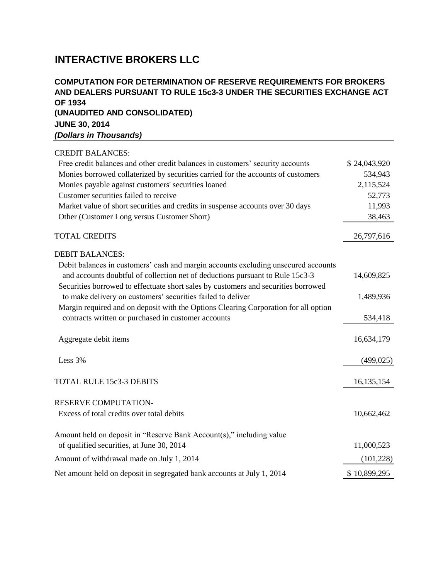# **JUNE 30, 2014** *(Dollars in Thousands)* **COMPUTATION FOR DETERMINATION OF RESERVE REQUIREMENTS FOR BROKERS AND DEALERS PURSUANT TO RULE 15c3-3 UNDER THE SECURITIES EXCHANGE ACT OF 1934 (UNAUDITED AND CONSOLIDATED)**

| <b>CREDIT BALANCES:</b>                                                                                                                                             |              |
|---------------------------------------------------------------------------------------------------------------------------------------------------------------------|--------------|
| Free credit balances and other credit balances in customers' security accounts                                                                                      | \$24,043,920 |
| Monies borrowed collaterized by securities carried for the accounts of customers                                                                                    | 534,943      |
| Monies payable against customers' securities loaned                                                                                                                 | 2,115,524    |
| Customer securities failed to receive                                                                                                                               | 52,773       |
| Market value of short securities and credits in suspense accounts over 30 days                                                                                      | 11,993       |
| Other (Customer Long versus Customer Short)                                                                                                                         | 38,463       |
| <b>TOTAL CREDITS</b>                                                                                                                                                | 26,797,616   |
| <b>DEBIT BALANCES:</b>                                                                                                                                              |              |
| Debit balances in customers' cash and margin accounts excluding unsecured accounts<br>and accounts doubtful of collection net of deductions pursuant to Rule 15c3-3 | 14,609,825   |
| Securities borrowed to effectuate short sales by customers and securities borrowed<br>to make delivery on customers' securities failed to deliver                   | 1,489,936    |
| Margin required and on deposit with the Options Clearing Corporation for all option<br>contracts written or purchased in customer accounts                          | 534,418      |
| Aggregate debit items                                                                                                                                               | 16,634,179   |
| Less 3%                                                                                                                                                             | (499, 025)   |
| <b>TOTAL RULE 15c3-3 DEBITS</b>                                                                                                                                     | 16, 135, 154 |
| <b>RESERVE COMPUTATION-</b>                                                                                                                                         |              |
| Excess of total credits over total debits                                                                                                                           | 10,662,462   |
| Amount held on deposit in "Reserve Bank Account(s)," including value                                                                                                |              |
| of qualified securities, at June 30, 2014                                                                                                                           | 11,000,523   |
| Amount of withdrawal made on July 1, 2014                                                                                                                           | (101, 228)   |
| Net amount held on deposit in segregated bank accounts at July 1, 2014                                                                                              | \$10,899,295 |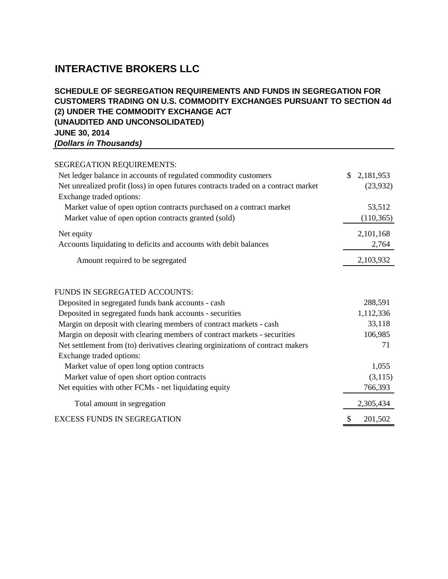# **JUNE 30, 2014** *(Dollars in Thousands)* **SCHEDULE OF SEGREGATION REQUIREMENTS AND FUNDS IN SEGREGATION FOR CUSTOMERS TRADING ON U.S. COMMODITY EXCHANGES PURSUANT TO SECTION 4d (2) UNDER THE COMMODITY EXCHANGE ACT (UNAUDITED AND UNCONSOLIDATED)**

| <b>SEGREGATION REQUIREMENTS:</b>                                                   |              |            |
|------------------------------------------------------------------------------------|--------------|------------|
| Net ledger balance in accounts of regulated commodity customers                    | $\mathbb{S}$ | 2,181,953  |
| Net unrealized profit (loss) in open futures contracts traded on a contract market |              | (23,932)   |
| Exchange traded options:                                                           |              |            |
| Market value of open option contracts purchased on a contract market               |              | 53,512     |
| Market value of open option contracts granted (sold)                               |              | (110, 365) |
| Net equity                                                                         |              | 2,101,168  |
| Accounts liquidating to deficits and accounts with debit balances                  |              | 2,764      |
| Amount required to be segregated                                                   |              | 2,103,932  |
| FUNDS IN SEGREGATED ACCOUNTS:                                                      |              |            |
| Deposited in segregated funds bank accounts - cash                                 |              | 288,591    |
| Deposited in segregated funds bank accounts - securities                           |              | 1,112,336  |
| Margin on deposit with clearing members of contract markets - cash                 |              | 33,118     |
| Margin on deposit with clearing members of contract markets - securities           |              | 106,985    |
| Net settlement from (to) derivatives clearing orginizations of contract makers     |              | 71         |
| Exchange traded options:                                                           |              |            |
| Market value of open long option contracts                                         |              | 1,055      |
| Market value of open short option contracts                                        |              | (3,115)    |
| Net equities with other FCMs - net liquidating equity                              |              | 766,393    |
| Total amount in segregation                                                        |              | 2,305,434  |
| <b>EXCESS FUNDS IN SEGREGATION</b>                                                 | \$           | 201,502    |